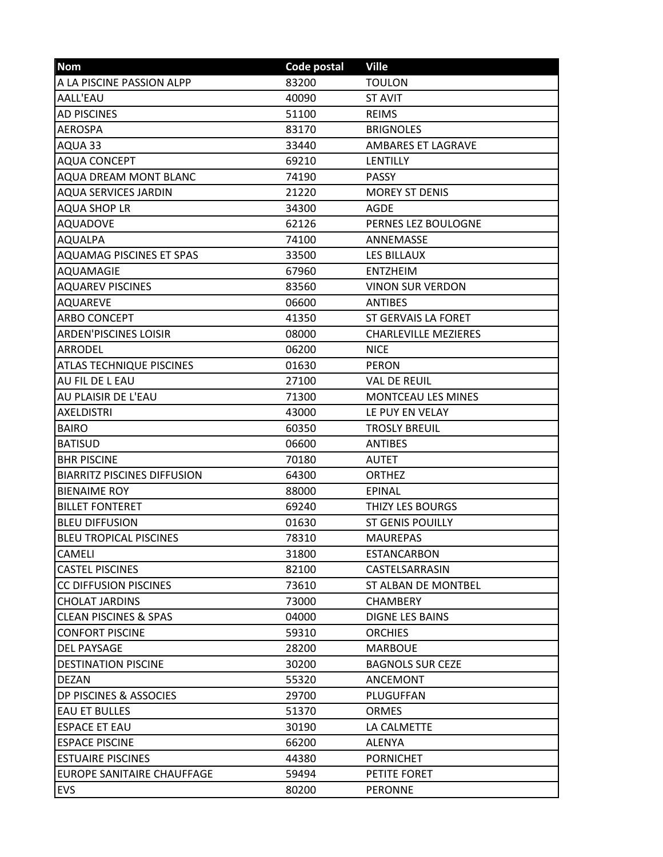| <b>Nom</b>                         | Code postal | <b>Ville</b>                |
|------------------------------------|-------------|-----------------------------|
| A LA PISCINE PASSION ALPP          | 83200       | <b>TOULON</b>               |
| AALL'EAU                           | 40090       | <b>ST AVIT</b>              |
| <b>AD PISCINES</b>                 | 51100       | <b>REIMS</b>                |
| <b>AEROSPA</b>                     | 83170       | <b>BRIGNOLES</b>            |
| AQUA 33                            | 33440       | <b>AMBARES ET LAGRAVE</b>   |
| <b>AQUA CONCEPT</b>                | 69210       | LENTILLY                    |
| <b>AQUA DREAM MONT BLANC</b>       | 74190       | <b>PASSY</b>                |
| <b>AQUA SERVICES JARDIN</b>        | 21220       | <b>MOREY ST DENIS</b>       |
| <b>AQUA SHOP LR</b>                | 34300       | <b>AGDE</b>                 |
| <b>AQUADOVE</b>                    | 62126       | PERNES LEZ BOULOGNE         |
| <b>AQUALPA</b>                     | 74100       | ANNEMASSE                   |
| <b>AQUAMAG PISCINES ET SPAS</b>    | 33500       | <b>LES BILLAUX</b>          |
| <b>AQUAMAGIE</b>                   | 67960       | <b>ENTZHEIM</b>             |
| <b>AQUAREV PISCINES</b>            | 83560       | <b>VINON SUR VERDON</b>     |
| <b>AQUAREVE</b>                    | 06600       | <b>ANTIBES</b>              |
| <b>ARBO CONCEPT</b>                | 41350       | ST GERVAIS LA FORET         |
| <b>ARDEN'PISCINES LOISIR</b>       | 08000       | <b>CHARLEVILLE MEZIERES</b> |
| <b>ARRODEL</b>                     | 06200       | <b>NICE</b>                 |
| <b>ATLAS TECHNIQUE PISCINES</b>    | 01630       | <b>PERON</b>                |
| AU FIL DE L EAU                    | 27100       | <b>VAL DE REUIL</b>         |
| AU PLAISIR DE L'EAU                | 71300       | <b>MONTCEAU LES MINES</b>   |
| <b>AXELDISTRI</b>                  | 43000       | LE PUY EN VELAY             |
| <b>BAIRO</b>                       | 60350       | <b>TROSLY BREUIL</b>        |
| <b>BATISUD</b>                     | 06600       | <b>ANTIBES</b>              |
| <b>BHR PISCINE</b>                 | 70180       | <b>AUTET</b>                |
| <b>BIARRITZ PISCINES DIFFUSION</b> | 64300       | <b>ORTHEZ</b>               |
| <b>BIENAIME ROY</b>                | 88000       | EPINAL                      |
| <b>BILLET FONTERET</b>             | 69240       | <b>THIZY LES BOURGS</b>     |
| <b>BLEU DIFFUSION</b>              | 01630       | <b>ST GENIS POUILLY</b>     |
| <b>BLEU TROPICAL PISCINES</b>      | 78310       | <b>MAUREPAS</b>             |
| CAMELI                             | 31800       | <b>ESTANCARBON</b>          |
| <b>CASTEL PISCINES</b>             | 82100       | CASTELSARRASIN              |
| CC DIFFUSION PISCINES              | 73610       | ST ALBAN DE MONTBEL         |
| <b>CHOLAT JARDINS</b>              | 73000       | <b>CHAMBERY</b>             |
| <b>CLEAN PISCINES &amp; SPAS</b>   | 04000       | DIGNE LES BAINS             |
| <b>CONFORT PISCINE</b>             | 59310       | <b>ORCHIES</b>              |
| <b>DEL PAYSAGE</b>                 | 28200       | <b>MARBOUE</b>              |
| <b>DESTINATION PISCINE</b>         | 30200       | <b>BAGNOLS SUR CEZE</b>     |
| <b>DEZAN</b>                       | 55320       | <b>ANCEMONT</b>             |
| DP PISCINES & ASSOCIES             | 29700       | PLUGUFFAN                   |
| <b>EAU ET BULLES</b>               | 51370       | <b>ORMES</b>                |
| <b>ESPACE ET EAU</b>               | 30190       | LA CALMETTE                 |
| <b>ESPACE PISCINE</b>              | 66200       | <b>ALENYA</b>               |
| <b>ESTUAIRE PISCINES</b>           | 44380       | <b>PORNICHET</b>            |
| EUROPE SANITAIRE CHAUFFAGE         | 59494       | PETITE FORET                |
| EVS                                | 80200       | <b>PERONNE</b>              |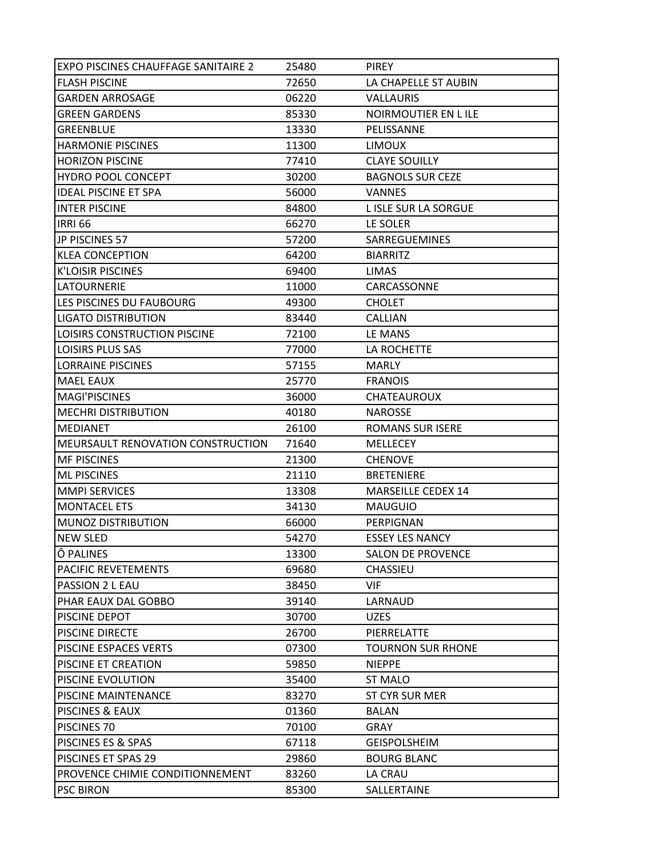| <b>EXPO PISCINES CHAUFFAGE SANITAIRE 2</b> | 25480 | <b>PIREY</b>              |
|--------------------------------------------|-------|---------------------------|
| <b>FLASH PISCINE</b>                       | 72650 | LA CHAPELLE ST AUBIN      |
| <b>GARDEN ARROSAGE</b>                     | 06220 | VALLAURIS                 |
| <b>GREEN GARDENS</b>                       | 85330 | NOIRMOUTIER EN LILE       |
| <b>GREENBLUE</b>                           | 13330 | PELISSANNE                |
| <b>HARMONIE PISCINES</b>                   | 11300 | <b>LIMOUX</b>             |
| <b>HORIZON PISCINE</b>                     | 77410 | <b>CLAYE SOUILLY</b>      |
| <b>HYDRO POOL CONCEPT</b>                  | 30200 | <b>BAGNOLS SUR CEZE</b>   |
| <b>IDEAL PISCINE ET SPA</b>                | 56000 | <b>VANNES</b>             |
| <b>INTER PISCINE</b>                       | 84800 | L ISLE SUR LA SORGUE      |
| <b>IRRI 66</b>                             | 66270 | LE SOLER                  |
| JP PISCINES 57                             | 57200 | SARREGUEMINES             |
| <b>KLEA CONCEPTION</b>                     | 64200 | <b>BIARRITZ</b>           |
| <b>K'LOISIR PISCINES</b>                   | 69400 | <b>LIMAS</b>              |
| <b>LATOURNERIE</b>                         | 11000 | CARCASSONNE               |
| LES PISCINES DU FAUBOURG                   | 49300 | <b>CHOLET</b>             |
| <b>LIGATO DISTRIBUTION</b>                 | 83440 | <b>CALLIAN</b>            |
| LOISIRS CONSTRUCTION PISCINE               | 72100 | LE MANS                   |
| <b>LOISIRS PLUS SAS</b>                    | 77000 | LA ROCHETTE               |
| <b>LORRAINE PISCINES</b>                   | 57155 | <b>MARLY</b>              |
| <b>MAEL EAUX</b>                           | 25770 | <b>FRANOIS</b>            |
| <b>MAGI'PISCINES</b>                       | 36000 | <b>CHATEAUROUX</b>        |
| <b>MECHRI DISTRIBUTION</b>                 | 40180 | <b>NAROSSE</b>            |
| <b>IMEDIANET</b>                           | 26100 | <b>ROMANS SUR ISERE</b>   |
| MEURSAULT RENOVATION CONSTRUCTION          | 71640 | <b>MELLECEY</b>           |
| <b>MF PISCINES</b>                         | 21300 | <b>CHENOVE</b>            |
| <b>ML PISCINES</b>                         | 21110 | <b>BRETENIERE</b>         |
| <b>MMPI SERVICES</b>                       | 13308 | <b>MARSEILLE CEDEX 14</b> |
| <b>MONTACEL ETS</b>                        | 34130 | <b>MAUGUIO</b>            |
| <b>MUNOZ DISTRIBUTION</b>                  | 66000 | PERPIGNAN                 |
| <b>NEW SLED</b>                            | 54270 | <b>ESSEY LES NANCY</b>    |
| Ô PALINES                                  | 13300 | <b>SALON DE PROVENCE</b>  |
| PACIFIC REVETEMENTS                        | 69680 | CHASSIEU                  |
| PASSION 2 L EAU                            | 38450 | VIF                       |
| PHAR EAUX DAL GOBBO                        | 39140 | LARNAUD                   |
| PISCINE DEPOT                              | 30700 | <b>UZES</b>               |
| <b>PISCINE DIRECTE</b>                     | 26700 | PIERRELATTE               |
| PISCINE ESPACES VERTS                      | 07300 | <b>TOURNON SUR RHONE</b>  |
| PISCINE ET CREATION                        | 59850 | <b>NIEPPE</b>             |
| PISCINE EVOLUTION                          | 35400 | <b>ST MALO</b>            |
| PISCINE MAINTENANCE                        | 83270 | ST CYR SUR MER            |
| PISCINES & EAUX                            | 01360 | <b>BALAN</b>              |
| PISCINES 70                                | 70100 | <b>GRAY</b>               |
| PISCINES ES & SPAS                         | 67118 | <b>GEISPOLSHEIM</b>       |
| PISCINES ET SPAS 29                        | 29860 | <b>BOURG BLANC</b>        |
| PROVENCE CHIMIE CONDITIONNEMENT            | 83260 | LA CRAU                   |
| <b>PSC BIRON</b>                           | 85300 | SALLERTAINE               |